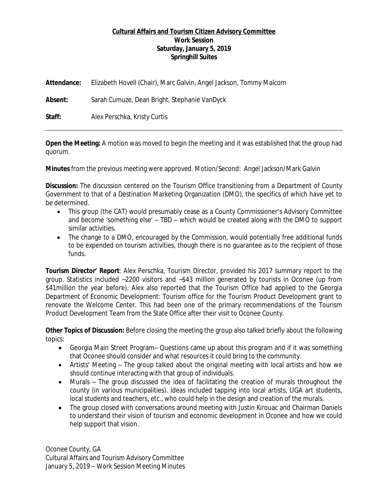## **Cultural Affairs and Tourism Citizen Advisory Committee Work Session Saturday, January 5, 2019 Springhill Suites**

| Attendance: | Elizabeth Hovell (Chair), Marc Galvin, Angel Jackson, Tommy Malcom |
|-------------|--------------------------------------------------------------------|
| Absent:     | Sarah Cumuze, Dean Bright, Stephanie VanDyck                       |
| Staff:      | Alex Perschka, Kristy Curtis                                       |

**Open the Meeting:** A motion was moved to begin the meeting and it was established that the group had quorum.

**Minutes** from the previous meeting were approved. Motion/Second: Angel Jackson/Mark Galvin

**Discussion:** The discussion centered on the Tourism Office transitioning from a Department of County Government to that of a Destination Marketing Organization (DMO), the specifics of which have yet to be determined.

- This group (the CAT) would presumably cease as a County Commissioner's Advisory Committee and become 'something else' – TBD – which would be created along with the DMO to support similar activities.
- The change to a DMO, encouraged by the Commission, would potentially free additional funds to be expended on tourism activities, though there is no guarantee as to the recipient of those funds.

**Tourism Director' Report**: Alex Perschka, Tourism Director, provided his 2017 summary report to the group. Statistics included ~2200 visitors and ~\$43 million generated by tourists in Oconee (up from \$41 million the year before). Alex also reported that the Tourism Office had applied to the Georgia Department of Economic Development: Tourism office for the Tourism Product Development grant to renovate the Welcome Center. This had been one of the primary recommendations of the Tourism Product Development Team from the State Office after their visit to Oconee County.

**Other Topics of Discussion:** Before closing the meeting the group also talked briefly about the following topics:

- Georgia Main Street Program– Questions came up about this program and if it was something that Oconee should consider and what resources it could bring to the community.
- Artists' Meeting The group talked about the original meeting with local artists and how we should continue interacting with that group of individuals.
- Murals The group discussed the idea of facilitating the creation of murals throughout the county (in various municipalities). Ideas included tapping into local artists, UGA art students, local students and teachers, etc., who could help in the design and creation of the murals.
- The group closed with conversations around meeting with Justin Kirouac and Chairman Daniels to understand their vision of tourism and economic development in Oconee and how we could help support that vision.

Oconee County, GA Cultural Affairs and Tourism Advisory Committee January 5, 2019 – Work Session Meeting Minutes